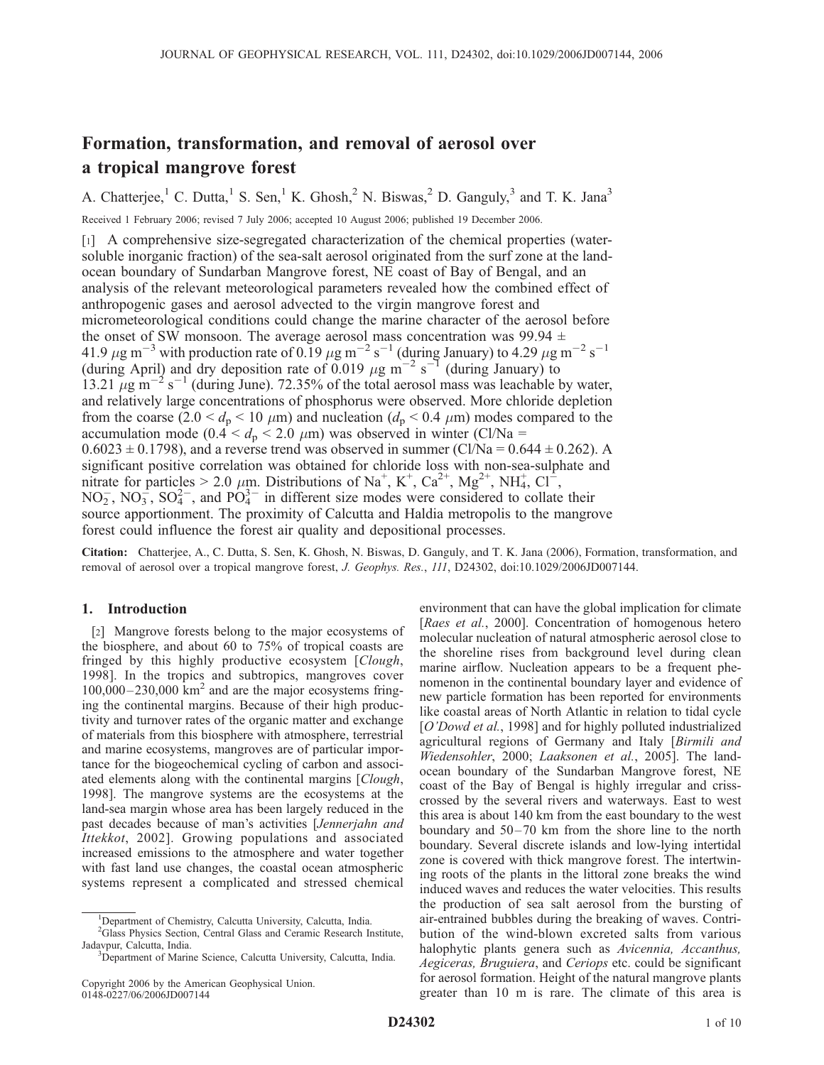# Formation, transformation, and removal of aerosol over a tropical mangrove forest

A. Chatterjee,<sup>1</sup> C. Dutta,<sup>1</sup> S. Sen,<sup>1</sup> K. Ghosh,<sup>2</sup> N. Biswas,<sup>2</sup> D. Ganguly,<sup>3</sup> and T. K. Jana<sup>3</sup> Received 1 February 2006; revised 7 July 2006; accepted 10 August 2006; published 19 December 2006.

[1] A comprehensive size-segregated characterization of the chemical properties (watersoluble inorganic fraction) of the sea-salt aerosol originated from the surf zone at the landocean boundary of Sundarban Mangrove forest, NE coast of Bay of Bengal, and an analysis of the relevant meteorological parameters revealed how the combined effect of anthropogenic gases and aerosol advected to the virgin mangrove forest and micrometeorological conditions could change the marine character of the aerosol before the onset of SW monsoon. The average aerosol mass concentration was 99.94  $\pm$ 41.9  $\mu$ g m<sup>-3</sup> with production rate of 0.19  $\mu$ g m<sup>-2</sup> s<sup>-1</sup> (during January) to 4.29  $\mu$ g m<sup>-2</sup> s<sup>-1</sup> (during April) and dry deposition rate of 0.019  $\mu$ g m<sup>-2</sup> s<sup>-1</sup> (during January) to 13.21  $\mu$ g m<sup>-2</sup> s<sup>-1</sup> (during June). 72.35% of the total aerosol mass was leachable by water, and relatively large concentrations of phosphorus were observed. More chloride depletion from the coarse (2.0 <  $d_p$  < 10  $\mu$ m) and nucleation ( $d_p$  < 0.4  $\mu$ m) modes compared to the accumulation mode (0.4  $< d_p < 2.0 \mu$ m) was observed in winter (Cl/Na =  $0.6023 \pm 0.1798$ ), and a reverse trend was observed in summer (Cl/Na =  $0.644 \pm 0.262$ ). A significant positive correlation was obtained for chloride loss with non-sea-sulphate and nitrate for particles > 2.0  $\mu$ m. Distributions of Na<sup>+</sup>, K<sup>+</sup>, Ca<sup>2+</sup>, Mg<sup>2+</sup>, NH<sub>4</sub>, Cl<sup>-</sup>,  $NO<sub>2</sub>$ ,  $NO<sub>3</sub><sup>-</sup>$ ,  $SO<sub>4</sub><sup>2</sup>$ , and  $PO<sub>4</sub><sup>3</sup>$  in different size modes were considered to collate their source apportionment. The proximity of Calcutta and Haldia metropolis to the mangrove forest could influence the forest air quality and depositional processes.

Citation: Chatterjee, A., C. Dutta, S. Sen, K. Ghosh, N. Biswas, D. Ganguly, and T. K. Jana (2006), Formation, transformation, and removal of aerosol over a tropical mangrove forest, J. Geophys. Res., 111, D24302, doi:10.1029/2006JD007144.

# 1. Introduction

[2] Mangrove forests belong to the major ecosystems of the biosphere, and about 60 to 75% of tropical coasts are fringed by this highly productive ecosystem [Clough, 1998]. In the tropics and subtropics, mangroves cover  $100,000 - 230,000$  km<sup>2</sup> and are the major ecosystems fringing the continental margins. Because of their high productivity and turnover rates of the organic matter and exchange of materials from this biosphere with atmosphere, terrestrial and marine ecosystems, mangroves are of particular importance for the biogeochemical cycling of carbon and associated elements along with the continental margins [Clough, 1998]. The mangrove systems are the ecosystems at the land-sea margin whose area has been largely reduced in the past decades because of man's activities [Jennerjahn and Ittekkot, 2002]. Growing populations and associated increased emissions to the atmosphere and water together with fast land use changes, the coastal ocean atmospheric systems represent a complicated and stressed chemical

environment that can have the global implication for climate [Raes et al., 2000]. Concentration of homogenous hetero molecular nucleation of natural atmospheric aerosol close to the shoreline rises from background level during clean marine airflow. Nucleation appears to be a frequent phenomenon in the continental boundary layer and evidence of new particle formation has been reported for environments like coastal areas of North Atlantic in relation to tidal cycle [O'Dowd et al., 1998] and for highly polluted industrialized agricultural regions of Germany and Italy [Birmili and Wiedensohler, 2000; Laaksonen et al., 2005]. The landocean boundary of the Sundarban Mangrove forest, NE coast of the Bay of Bengal is highly irregular and crisscrossed by the several rivers and waterways. East to west this area is about 140 km from the east boundary to the west boundary and  $50-70$  km from the shore line to the north boundary. Several discrete islands and low-lying intertidal zone is covered with thick mangrove forest. The intertwining roots of the plants in the littoral zone breaks the wind induced waves and reduces the water velocities. This results the production of sea salt aerosol from the bursting of air-entrained bubbles during the breaking of waves. Contribution of the wind-blown excreted salts from various halophytic plants genera such as Avicennia, Accanthus, Aegiceras, Bruguiera, and Ceriops etc. could be significant for aerosol formation. Height of the natural mangrove plants greater than 10 m is rare. The climate of this area is

<sup>&</sup>lt;sup>1</sup>Department of Chemistry, Calcutta University, Calcutta, India.

<sup>&</sup>lt;sup>2</sup>Glass Physics Section, Central Glass and Ceramic Research Institute, Jadavpur, Calcutta, India. <sup>3</sup>

<sup>&</sup>lt;sup>3</sup>Department of Marine Science, Calcutta University, Calcutta, India.

Copyright 2006 by the American Geophysical Union. 0148-0227/06/2006JD007144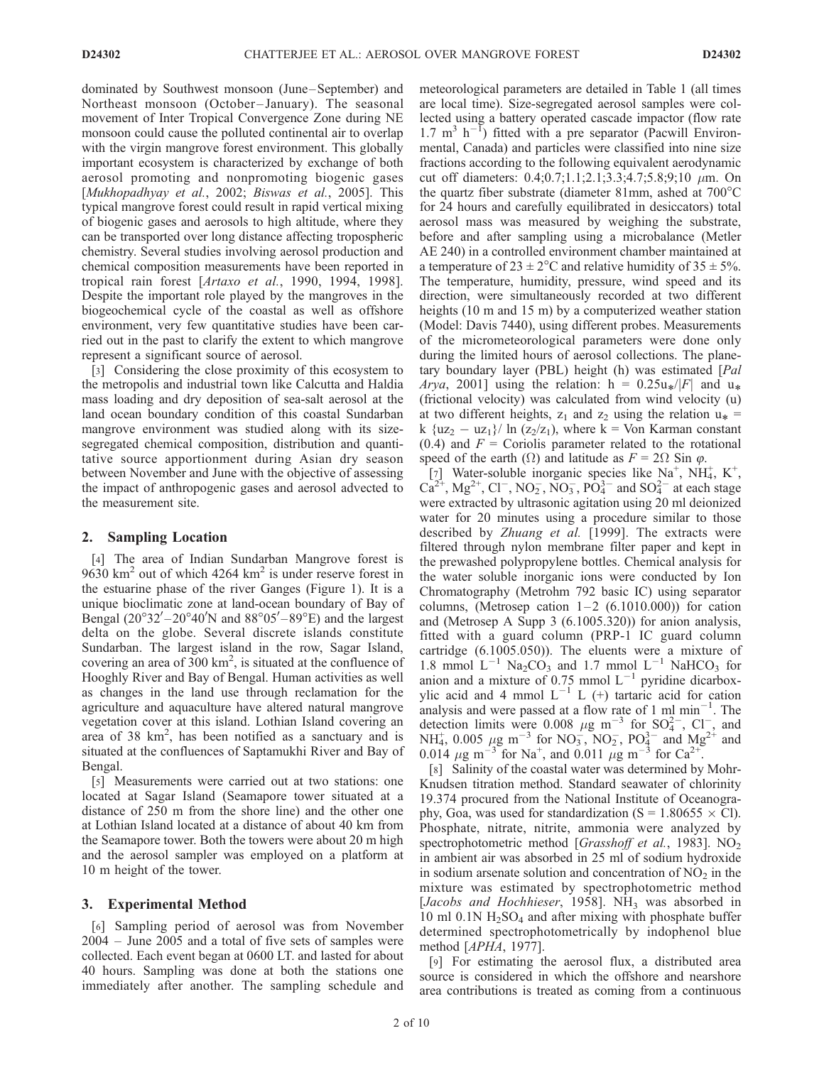dominated by Southwest monsoon (June–September) and Northeast monsoon (October-January). The seasonal movement of Inter Tropical Convergence Zone during NE monsoon could cause the polluted continental air to overlap with the virgin mangrove forest environment. This globally important ecosystem is characterized by exchange of both aerosol promoting and nonpromoting biogenic gases [Mukhopadhyay et al., 2002; Biswas et al., 2005]. This typical mangrove forest could result in rapid vertical mixing of biogenic gases and aerosols to high altitude, where they can be transported over long distance affecting tropospheric chemistry. Several studies involving aerosol production and chemical composition measurements have been reported in tropical rain forest [Artaxo et al., 1990, 1994, 1998]. Despite the important role played by the mangroves in the biogeochemical cycle of the coastal as well as offshore environment, very few quantitative studies have been carried out in the past to clarify the extent to which mangrove represent a significant source of aerosol.

[3] Considering the close proximity of this ecosystem to the metropolis and industrial town like Calcutta and Haldia mass loading and dry deposition of sea-salt aerosol at the land ocean boundary condition of this coastal Sundarban mangrove environment was studied along with its sizesegregated chemical composition, distribution and quantitative source apportionment during Asian dry season between November and June with the objective of assessing the impact of anthropogenic gases and aerosol advected to the measurement site.

## 2. Sampling Location

[4] The area of Indian Sundarban Mangrove forest is 9630 km<sup>2</sup> out of which 4264 km<sup>2</sup> is under reserve forest in the estuarine phase of the river Ganges (Figure 1). It is a unique bioclimatic zone at land-ocean boundary of Bay of Bengal  $(20^{\circ}32' - 20^{\circ}40'N$  and  $88^{\circ}05' - 89^{\circ}E$ ) and the largest delta on the globe. Several discrete islands constitute Sundarban. The largest island in the row, Sagar Island, covering an area of  $300 \text{ km}^2$ , is situated at the confluence of Hooghly River and Bay of Bengal. Human activities as well as changes in the land use through reclamation for the agriculture and aquaculture have altered natural mangrove vegetation cover at this island. Lothian Island covering an area of 38  $\text{km}^2$ , has been notified as a sanctuary and is situated at the confluences of Saptamukhi River and Bay of Bengal.

[5] Measurements were carried out at two stations: one located at Sagar Island (Seamapore tower situated at a distance of 250 m from the shore line) and the other one at Lothian Island located at a distance of about 40 km from the Seamapore tower. Both the towers were about 20 m high and the aerosol sampler was employed on a platform at 10 m height of the tower.

#### 3. Experimental Method

[6] Sampling period of aerosol was from November 2004 – June 2005 and a total of five sets of samples were collected. Each event began at 0600 LT. and lasted for about 40 hours. Sampling was done at both the stations one immediately after another. The sampling schedule and meteorological parameters are detailed in Table 1 (all times are local time). Size-segregated aerosol samples were collected using a battery operated cascade impactor (flow rate  $1.7 \text{ m}^3 \text{ h}^{-1}$ ) fitted with a pre separator (Pacwill Environmental, Canada) and particles were classified into nine size fractions according to the following equivalent aerodynamic cut off diameters: 0.4;0.7;1.1;2.1;3.3;4.7;5.8;9;10  $\mu$ m. On the quartz fiber substrate (diameter 81mm, ashed at  $700^{\circ}$ C for 24 hours and carefully equilibrated in desiccators) total aerosol mass was measured by weighing the substrate, before and after sampling using a microbalance (Metler AE 240) in a controlled environment chamber maintained at a temperature of  $23 \pm 2^{\circ}$ C and relative humidity of  $35 \pm 5\%$ . The temperature, humidity, pressure, wind speed and its direction, were simultaneously recorded at two different heights (10 m and 15 m) by a computerized weather station (Model: Davis 7440), using different probes. Measurements of the micrometeorological parameters were done only during the limited hours of aerosol collections. The planetary boundary layer (PBL) height (h) was estimated [Pal *Arya*, 2001] using the relation: h =  $0.25u*/|F|$  and  $u*$  (frictional velocity) was calculated from wind velocity (u) at two different heights,  $z_1$  and  $z_2$  using the relation  $u_* =$ k  $\{uz_2 - uz_1\}/\ln(z_2/z_1)$ , where k = Von Karman constant  $(0.4)$  and  $F =$  Coriolis parameter related to the rotational speed of the earth ( $\Omega$ ) and latitude as  $F = 2\Omega$  Sin  $\varphi$ .

[7] Water-soluble inorganic species like  $Na^+$ ,  $NH_4^+$ ,  $K^+$ ,  $Ca^{2+}$ , Mg<sup>2+</sup>, Cl<sup>-</sup>, NO<sub>2</sub>, NO<sub>3</sub>, PO<sub>4</sub><sup>3-</sup> and SO<sub>4</sub><sup>2-</sup> at each stage were extracted by ultrasonic agitation using 20 ml deionized water for 20 minutes using a procedure similar to those described by Zhuang et al. [1999]. The extracts were filtered through nylon membrane filter paper and kept in the prewashed polypropylene bottles. Chemical analysis for the water soluble inorganic ions were conducted by Ion Chromatography (Metrohm 792 basic IC) using separator columns, (Metrosep cation  $1-2$  (6.1010.000)) for cation and (Metrosep A Supp 3 (6.1005.320)) for anion analysis, fitted with a guard column (PRP-1 IC guard column cartridge (6.1005.050)). The eluents were a mixture of 1.8 mmol  $L^{-1}$  Na<sub>2</sub>CO<sub>3</sub> and 1.7 mmol  $L^{-1}$  NaHCO<sub>3</sub> for anion and a mixture of  $0.75$  mmol  $L^{-1}$  pyridine dicarboxylic acid and 4 mmol  $L^{-1}$  L (+) tartaric acid for cation analysis and were passed at a flow rate of 1 ml min<sup>-1</sup>. The detection limits were 0.008  $\mu$ g m<sup>-3</sup> for SO<sub>4</sub><sup>2</sup>, Cl<sub>2</sub>, and NH<sub>4</sub>, 0.005  $\mu$ g m<sup>-3</sup> for NO<sub>3</sub>, NO<sub>2</sub>, PO<sub>4</sub><sup>3-</sup> and Mg<sup>2+</sup> and 0.014  $\mu$ g m<sup>-3</sup> for Na<sup>+</sup>, and 0.011  $\mu$ g m<sup>-3</sup> for Ca<sup>2+</sup>.

[8] Salinity of the coastal water was determined by Mohr-Knudsen titration method. Standard seawater of chlorinity 19.374 procured from the National Institute of Oceanography, Goa, was used for standardization (S =  $1.80655 \times$  Cl). Phosphate, nitrate, nitrite, ammonia were analyzed by spectrophotometric method [Grasshoff et al., 1983]. NO<sub>2</sub> in ambient air was absorbed in 25 ml of sodium hydroxide in sodium arsenate solution and concentration of  $NO<sub>2</sub>$  in the mixture was estimated by spectrophotometric method [Jacobs and Hochhieser, 1958]. NH<sub>3</sub> was absorbed in 10 ml  $0.1N$  H<sub>2</sub>SO<sub>4</sub> and after mixing with phosphate buffer determined spectrophotometrically by indophenol blue method [APHA, 1977].

[9] For estimating the aerosol flux, a distributed area source is considered in which the offshore and nearshore area contributions is treated as coming from a continuous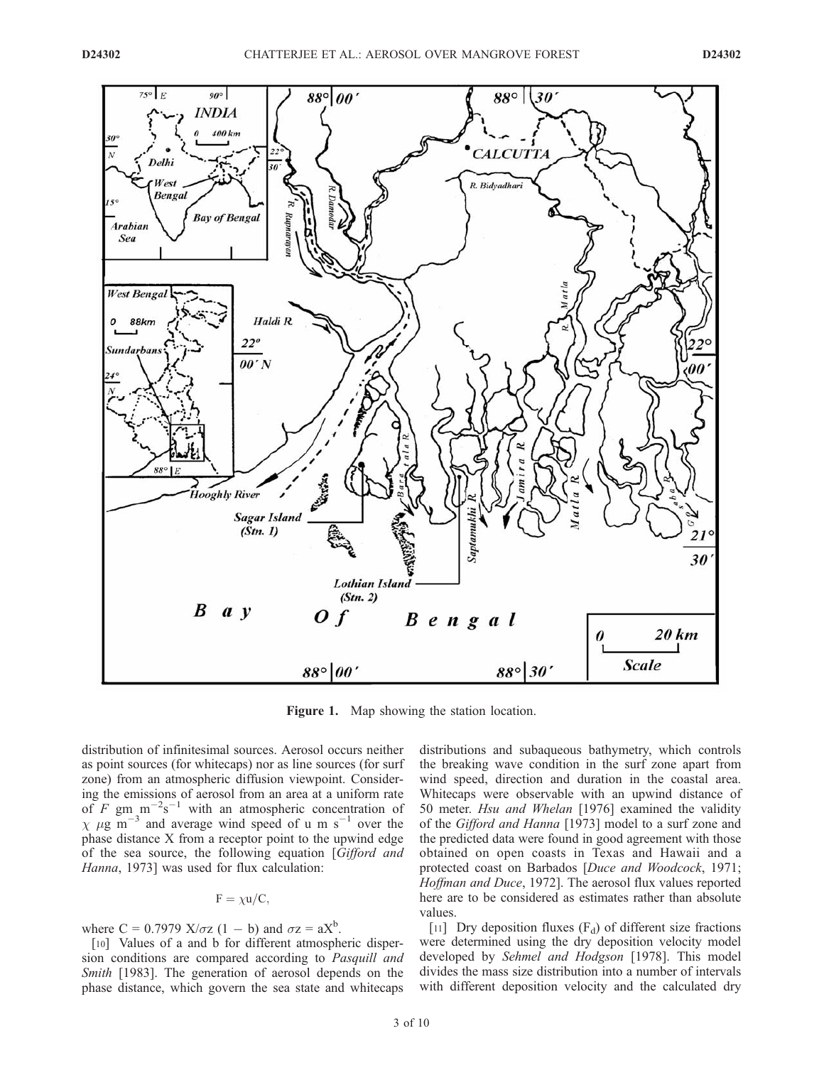

Figure 1. Map showing the station location.

distribution of infinitesimal sources. Aerosol occurs neither as point sources (for whitecaps) nor as line sources (for surf zone) from an atmospheric diffusion viewpoint. Considering the emissions of aerosol from an area at a uniform rate of F gm  $\text{m}^{-2}\text{s}^{-1}$  with an atmospheric concentration of  $\chi$   $\mu$ g m<sup>-3</sup> and average wind speed of u m s<sup>-1</sup> over the phase distance X from a receptor point to the upwind edge of the sea source, the following equation [Gifford and Hanna, 1973] was used for flux calculation:

$$
F = \chi u/C,
$$

where  $C = 0.7979$   $X/\sigma z$   $(1 - b)$  and  $\sigma z = aX^b$ .

[10] Values of a and b for different atmospheric dispersion conditions are compared according to Pasquill and Smith [1983]. The generation of aerosol depends on the phase distance, which govern the sea state and whitecaps distributions and subaqueous bathymetry, which controls the breaking wave condition in the surf zone apart from wind speed, direction and duration in the coastal area. Whitecaps were observable with an upwind distance of 50 meter. Hsu and Whelan [1976] examined the validity of the Gifford and Hanna [1973] model to a surf zone and the predicted data were found in good agreement with those obtained on open coasts in Texas and Hawaii and a protected coast on Barbados [Duce and Woodcock, 1971; Hoffman and Duce, 1972]. The aerosol flux values reported here are to be considered as estimates rather than absolute values.

[11] Dry deposition fluxes  $(F_d)$  of different size fractions were determined using the dry deposition velocity model developed by Sehmel and Hodgson [1978]. This model divides the mass size distribution into a number of intervals with different deposition velocity and the calculated dry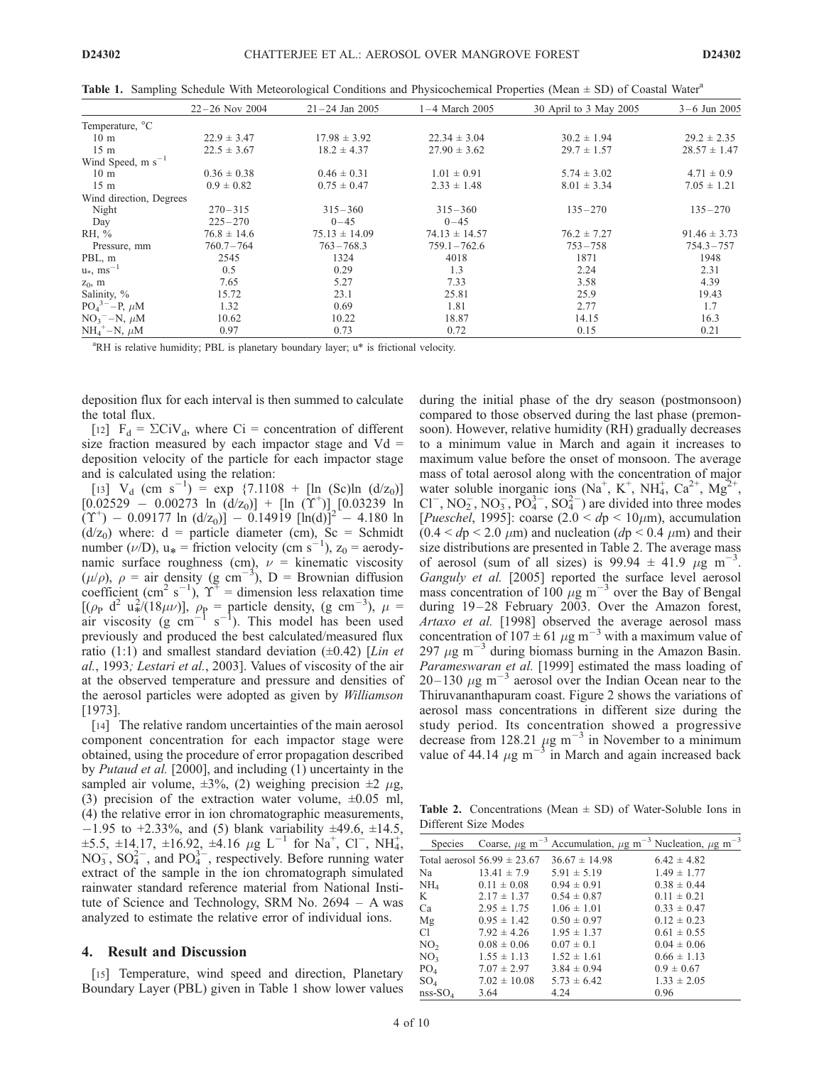**Table 1.** Sampling Schedule With Meteorological Conditions and Physicochemical Properties (Mean  $\pm$  SD) of Coastal Water<sup>a</sup>

|                           | $22 - 26$ Nov 2004 | $21 - 24$ Jan 2005 | $1-4$ March 2005  | 30 April to 3 May 2005 | $3 - 6$ Jun 2005 |
|---------------------------|--------------------|--------------------|-------------------|------------------------|------------------|
| Temperature, °C           |                    |                    |                   |                        |                  |
| 10 <sub>m</sub>           | $22.9 \pm 3.47$    | $17.98 \pm 3.92$   | $22.34 \pm 3.04$  | $30.2 \pm 1.94$        | $29.2 \pm 2.35$  |
| 15 <sub>m</sub>           | $22.5 \pm 3.67$    | $18.2 \pm 4.37$    | $27.90 \pm 3.62$  | $29.7 \pm 1.57$        | $28.57 \pm 1.47$ |
| Wind Speed, $m s^{-1}$    |                    |                    |                   |                        |                  |
| 10 <sub>m</sub>           | $0.36 \pm 0.38$    | $0.46 \pm 0.31$    | $1.01 \pm 0.91$   | $5.74 \pm 3.02$        | $4.71 \pm 0.9$   |
| 15 <sub>m</sub>           | $0.9 \pm 0.82$     | $0.75 \pm 0.47$    | $2.33 \pm 1.48$   | $8.01 \pm 3.34$        | $7.05 \pm 1.21$  |
| Wind direction, Degrees   |                    |                    |                   |                        |                  |
| Night                     | $270 - 315$        | $315 - 360$        | $315 - 360$       | $135 - 270$            | $135 - 270$      |
| Day                       | $225 - 270$        | $0 - 45$           | $0 - 45$          |                        |                  |
| RH, $\%$                  | $76.8 \pm 14.6$    | $75.13 \pm 14.09$  | $74.13 \pm 14.57$ | $76.2 \pm 7.27$        | $91.46 \pm 3.73$ |
| Pressure, mm              | 760.7-764          | $763 - 768.3$      | $759.1 - 762.6$   | $753 - 758$            | $754.3 - 757$    |
| PBL, m                    | 2545               | 1324               | 4018              | 1871                   | 1948             |
| $u_*, \text{ ms}^{-1}$    | 0.5                | 0.29               | 1.3               | 2.24                   | 2.31             |
| $z_0$ , m                 | 7.65               | 5.27               | 7.33              | 3.58                   | 4.39             |
| Salinity, %               | 15.72              | 23.1               | 25.81             | 25.9                   | 19.43            |
| $PO_4^{3-} - P$ , $\mu$ M | 1.32               | 0.69               | 1.81              | 2.77                   | 1.7              |
| $NO3 - N$ , $\mu$ M       | 10.62              | 10.22              | 18.87             | 14.15                  | 16.3             |
| $NH_4^+$ –N, $\mu$ M      | 0.97               | 0.73               | 0.72              | 0.15                   | 0.21             |

<sup>a</sup>RH is relative humidity; PBL is planetary boundary layer; u\* is frictional velocity.

deposition flux for each interval is then summed to calculate the total flux.

[12]  $F_d = \Sigma CiV_d$ , where Ci = concentration of different size fraction measured by each impactor stage and  $Vd =$ deposition velocity of the particle for each impactor stage and is calculated using the relation:

[13]  $V_d$  (cm s<sup>-1</sup>) = exp {7.1108 + [ln (Sc)ln (d/z<sub>0</sub>)]  $[0.02529 - 0.00273 \ln (d/z_0)] + [ln (Y^+)] [0.03239]$ ln  $(T^+)$  – 0.09177 ln (d/z<sub>0</sub>)] – 0.14919 [ln(d)]<sup>2</sup> – 4.180 ln  $(d/z_0)$  where:  $d =$  particle diameter (cm),  $Sc =$  Schmidt number ( $\nu$ /D), u<sub>\*</sub> = friction velocity (cm s<sup>-1</sup>), z<sub>0</sub> = aerodynamic surface roughness (cm),  $\nu$  = kinematic viscosity  $(\mu/\rho)$ ,  $\rho =$  air density (g cm<sup>-3</sup>), D = Brownian diffusion coefficient (cm<sup>2</sup> s<sup>-1</sup>),  $\Upsilon^+$  = dimension less relaxation time  $[(\rho_{\rm P} \, d^2 \, u^2)(18\mu\nu)], \rho_{\rm P} =$  particle density, (g cm<sup>-3</sup>),  $\mu =$ air viscosity (g cm<sup>-1</sup> s<sup>-1</sup>). This model has been used previously and produced the best calculated/measured flux ratio (1:1) and smallest standard deviation  $(\pm 0.42)$  [*Lin et* al., 1993; Lestari et al., 2003]. Values of viscosity of the air at the observed temperature and pressure and densities of the aerosol particles were adopted as given by Williamson [1973].

[14] The relative random uncertainties of the main aerosol component concentration for each impactor stage were obtained, using the procedure of error propagation described by *Putaud et al.* [2000], and including (1) uncertainty in the sampled air volume,  $\pm 3\%$ , (2) weighing precision  $\pm 2 \mu$ g, (3) precision of the extraction water volume,  $\pm 0.05$  ml, (4) the relative error in ion chromatographic measurements,  $-1.95$  to  $+2.33\%$ , and (5) blank variability  $\pm 49.6$ ,  $\pm 14.5$ ,  $\pm 5.5, \pm 14.17, \pm 16.92, \pm 4.16 \mu g L^{-1}$  for Na<sup>+</sup>, Cl<sup>-</sup>, NH<sub>4</sub>,  $NO_3^-$ ,  $SO_4^{2-}$ , and  $PO_4^{3-}$ , respectively. Before running water extract of the sample in the ion chromatograph simulated rainwater standard reference material from National Institute of Science and Technology, SRM No. 2694 – A was analyzed to estimate the relative error of individual ions.

## 4. Result and Discussion

[15] Temperature, wind speed and direction, Planetary Boundary Layer (PBL) given in Table 1 show lower values

during the initial phase of the dry season (postmonsoon) compared to those observed during the last phase (premonsoon). However, relative humidity (RH) gradually decreases to a minimum value in March and again it increases to maximum value before the onset of monsoon. The average mass of total aerosol along with the concentration of major water soluble inorganic ions (Na<sup>+</sup>, K<sup>+</sup>, NH<sub>4</sub>, Ca<sup>2+</sup>, Mg<sup>2+</sup>,  $Cl^-, NO_2^-, NO_3^-, PO_4^{3-}, SO_4^{2-})$  are divided into three modes [*Pueschel*, 1995]: coarse (2.0 <  $dp$  < 10 $\mu$ m), accumulation  $(0.4 < dp < 2.0 \mu m)$  and nucleation  $(dp < 0.4 \mu m)$  and their size distributions are presented in Table 2. The average mass of aerosol (sum of all sizes) is  $99.94 \pm 41.9$   $\mu$ g m<sup>-3</sup>. Ganguly et al. [2005] reported the surface level aerosol mass concentration of 100  $\mu$ g m<sup>-3</sup> over the Bay of Bengal during 19–28 February 2003. Over the Amazon forest, Artaxo et al. [1998] observed the average aerosol mass concentration of  $107 \pm 61 \ \mu g \ m^{-3}$  with a maximum value of 297  $\mu$ g m<sup>-3</sup> during biomass burning in the Amazon Basin. Parameswaran et al. [1999] estimated the mass loading of  $20-130 \mu g m^{-3}$  aerosol over the Indian Ocean near to the Thiruvananthapuram coast. Figure 2 shows the variations of aerosol mass concentrations in different size during the study period. Its concentration showed a progressive decrease from 128.21  $\mu$ g m<sup>-3</sup> in November to a minimum value of 44.14  $\mu$ g m<sup>-3</sup> in March and again increased back

**Table 2.** Concentrations (Mean  $\pm$  SD) of Water-Soluble Ions in Different Size Modes

| Species         |                                 | Coarse, $\mu$ g m <sup>-3</sup> Accumulation, $\mu$ g m <sup>-3</sup> Nucleation, $\mu$ g m <sup>-3</sup> |                 |
|-----------------|---------------------------------|-----------------------------------------------------------------------------------------------------------|-----------------|
|                 | Total aerosol $56.99 \pm 23.67$ | $36.67 \pm 14.98$                                                                                         | $6.42 \pm 4.82$ |
| Na              | $13.41 \pm 7.9$                 | $5.91 \pm 5.19$                                                                                           | $1.49 \pm 1.77$ |
| NH <sub>4</sub> | $0.11 \pm 0.08$                 | $0.94 \pm 0.91$                                                                                           | $0.38 \pm 0.44$ |
| K               | $2.17 \pm 1.37$                 | $0.54 \pm 0.87$                                                                                           | $0.11 \pm 0.21$ |
| Ca              | $2.95 \pm 1.75$                 | $1.06 \pm 1.01$                                                                                           | $0.33 \pm 0.47$ |
| Mg              | $0.95 \pm 1.42$                 | $0.50 \pm 0.97$                                                                                           | $0.12 \pm 0.23$ |
| C1              | $7.92 \pm 4.26$                 | $1.95 \pm 1.37$                                                                                           | $0.61 \pm 0.55$ |
| NO <sub>2</sub> | $0.08 \pm 0.06$                 | $0.07 \pm 0.1$                                                                                            | $0.04 \pm 0.06$ |
| NO <sub>3</sub> | $1.55 \pm 1.13$                 | $1.52 \pm 1.61$                                                                                           | $0.66 \pm 1.13$ |
| PO <sub>4</sub> | $7.07 \pm 2.97$                 | $3.84 \pm 0.94$                                                                                           | $0.9 \pm 0.67$  |
| $SO_4$          | $7.02 \pm 10.08$                | $5.73 \pm 6.42$                                                                                           | $1.33 \pm 2.05$ |
| $nss-SO4$       | 3.64                            | 4.24                                                                                                      | 0.96            |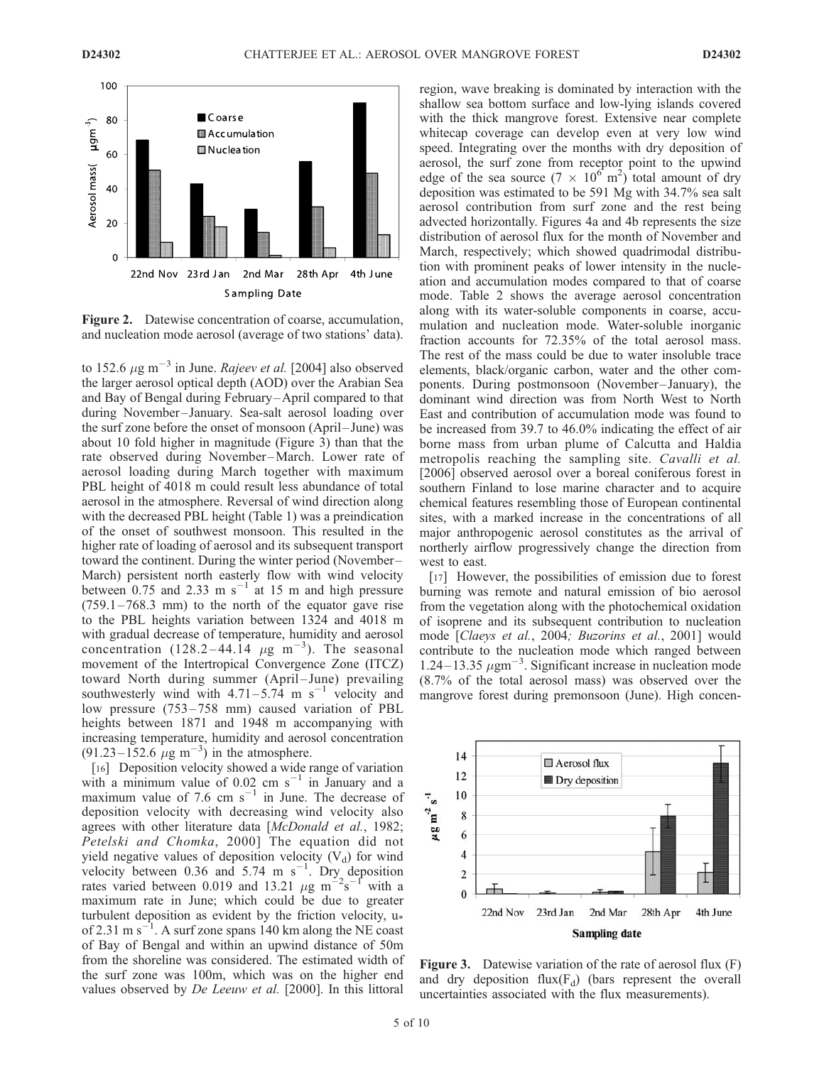

Figure 2. Datewise concentration of coarse, accumulation, and nucleation mode aerosol (average of two stations' data).

to 152.6  $\mu$ g m<sup>-3</sup> in June. Rajeev et al. [2004] also observed the larger aerosol optical depth (AOD) over the Arabian Sea and Bay of Bengal during February –April compared to that during November-January. Sea-salt aerosol loading over the surf zone before the onset of monsoon (April–June) was about 10 fold higher in magnitude (Figure 3) than that the rate observed during November-March. Lower rate of aerosol loading during March together with maximum PBL height of 4018 m could result less abundance of total aerosol in the atmosphere. Reversal of wind direction along with the decreased PBL height (Table 1) was a preindication of the onset of southwest monsoon. This resulted in the higher rate of loading of aerosol and its subsequent transport toward the continent. During the winter period (November – March) persistent north easterly flow with wind velocity between 0.75 and 2.33 m  $s^{-1}$  at 15 m and high pressure  $(759.1 - 768.3$  mm) to the north of the equator gave rise to the PBL heights variation between 1324 and 4018 m with gradual decrease of temperature, humidity and aerosol concentration (128.2-44.14  $\mu$ g m<sup>-3</sup>). The seasonal movement of the Intertropical Convergence Zone (ITCZ) toward North during summer (April-June) prevailing southwesterly wind with  $4.71 - 5.74$  m s<sup>-1</sup> velocity and low pressure (753–758 mm) caused variation of PBL heights between 1871 and 1948 m accompanying with increasing temperature, humidity and aerosol concentration  $(91.23 - 152.6 \mu g m^{-3})$  in the atmosphere.

[16] Deposition velocity showed a wide range of variation with a minimum value of  $0.02$  cm s<sup>-1</sup> in January and a maximum value of 7.6 cm  $s^{-1}$  in June. The decrease of deposition velocity with decreasing wind velocity also agrees with other literature data [McDonald et al., 1982; Petelski and Chomka, 2000] The equation did not yield negative values of deposition velocity  $(V_d)$  for wind velocity between 0.36 and 5.74 m  $s^{-1}$ . Dry deposition rates varied between 0.019 and 13.21  $\mu$ g m<sup>-2</sup>s<sup>-1</sup> with a maximum rate in June; which could be due to greater turbulent deposition as evident by the friction velocity,  $u*$ of 2.31 m s<sup>-1</sup>. A surf zone spans 140 km along the NE coast of Bay of Bengal and within an upwind distance of 50m from the shoreline was considered. The estimated width of the surf zone was 100m, which was on the higher end values observed by *De Leeuw et al.* [2000]. In this littoral

region, wave breaking is dominated by interaction with the shallow sea bottom surface and low-lying islands covered with the thick mangrove forest. Extensive near complete whitecap coverage can develop even at very low wind speed. Integrating over the months with dry deposition of aerosol, the surf zone from receptor point to the upwind edge of the sea source  $(7 \times 10^{6} \text{ m}^2)$  total amount of dry deposition was estimated to be 591 Mg with 34.7% sea salt aerosol contribution from surf zone and the rest being advected horizontally. Figures 4a and 4b represents the size distribution of aerosol flux for the month of November and March, respectively; which showed quadrimodal distribution with prominent peaks of lower intensity in the nucleation and accumulation modes compared to that of coarse mode. Table 2 shows the average aerosol concentration along with its water-soluble components in coarse, accumulation and nucleation mode. Water-soluble inorganic fraction accounts for 72.35% of the total aerosol mass. The rest of the mass could be due to water insoluble trace elements, black/organic carbon, water and the other components. During postmonsoon (November-January), the dominant wind direction was from North West to North East and contribution of accumulation mode was found to be increased from 39.7 to 46.0% indicating the effect of air borne mass from urban plume of Calcutta and Haldia metropolis reaching the sampling site. Cavalli et al. [2006] observed aerosol over a boreal coniferous forest in southern Finland to lose marine character and to acquire chemical features resembling those of European continental sites, with a marked increase in the concentrations of all major anthropogenic aerosol constitutes as the arrival of northerly airflow progressively change the direction from west to east.

[17] However, the possibilities of emission due to forest burning was remote and natural emission of bio aerosol from the vegetation along with the photochemical oxidation of isoprene and its subsequent contribution to nucleation mode [Claeys et al., 2004; Buzorins et al., 2001] would contribute to the nucleation mode which ranged between 1.24–13.35  $\mu$ gm<sup>-3</sup>. Significant increase in nucleation mode (8.7% of the total aerosol mass) was observed over the mangrove forest during premonsoon (June). High concen-



Figure 3. Datewise variation of the rate of aerosol flux (F) and dry deposition flux( $F_d$ ) (bars represent the overall uncertainties associated with the flux measurements).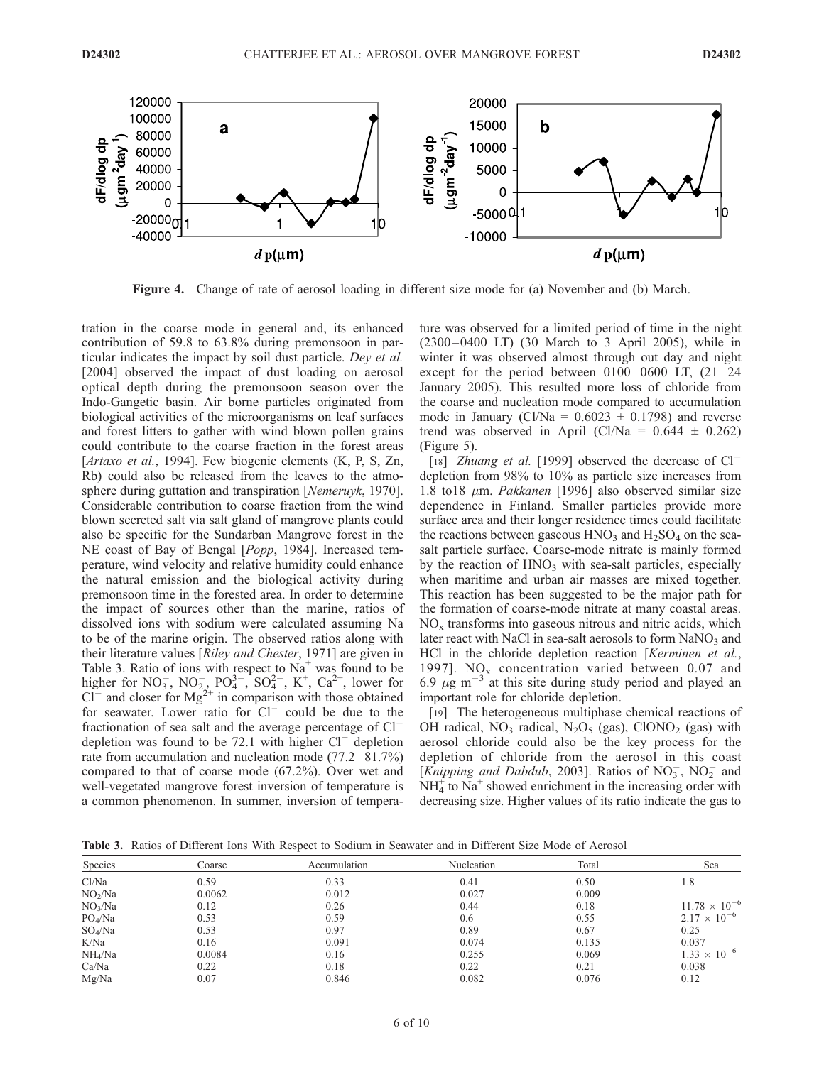

Figure 4. Change of rate of aerosol loading in different size mode for (a) November and (b) March.

tration in the coarse mode in general and, its enhanced contribution of 59.8 to 63.8% during premonsoon in particular indicates the impact by soil dust particle. Dey et al. [2004] observed the impact of dust loading on aerosol optical depth during the premonsoon season over the Indo-Gangetic basin. Air borne particles originated from biological activities of the microorganisms on leaf surfaces and forest litters to gather with wind blown pollen grains could contribute to the coarse fraction in the forest areas [Artaxo et al., 1994]. Few biogenic elements (K, P, S, Zn, Rb) could also be released from the leaves to the atmosphere during guttation and transpiration [Nemeruyk, 1970]. Considerable contribution to coarse fraction from the wind blown secreted salt via salt gland of mangrove plants could also be specific for the Sundarban Mangrove forest in the NE coast of Bay of Bengal [*Popp*, 1984]. Increased temperature, wind velocity and relative humidity could enhance the natural emission and the biological activity during premonsoon time in the forested area. In order to determine the impact of sources other than the marine, ratios of dissolved ions with sodium were calculated assuming Na to be of the marine origin. The observed ratios along with their literature values [Riley and Chester, 1971] are given in Table 3. Ratio of ions with respect to  $Na<sup>+</sup>$  was found to be higher for NO<sub>3</sub>, NO<sub>2</sub>, PO<sub>4</sub><sup>3</sup>, SO<sub>4</sub><sup>2</sup>, K<sup>+</sup>, Ca<sup>2+</sup>, lower for  $CI^-$  and closer for  $Mg^{2+}$  in comparison with those obtained for seawater. Lower ratio for  $Cl^-$  could be due to the fractionation of sea salt and the average percentage of  $Cl^$ depletion was found to be 72.1 with higher  $Cl^-$  depletion rate from accumulation and nucleation mode (77.2 –81.7%) compared to that of coarse mode (67.2%). Over wet and well-vegetated mangrove forest inversion of temperature is a common phenomenon. In summer, inversion of temperature was observed for a limited period of time in the night (2300– 0400 LT) (30 March to 3 April 2005), while in winter it was observed almost through out day and night except for the period between  $0100 - 0600$  LT,  $(21 - 24)$ January 2005). This resulted more loss of chloride from the coarse and nucleation mode compared to accumulation mode in January (Cl/Na =  $0.6023 \pm 0.1798$ ) and reverse trend was observed in April (Cl/Na =  $0.644 \pm 0.262$ ) (Figure 5).

[18] *Zhuang et al.* [1999] observed the decrease of  $Cl^$ depletion from 98% to 10% as particle size increases from 1.8 to18  $\mu$ m. *Pakkanen* [1996] also observed similar size dependence in Finland. Smaller particles provide more surface area and their longer residence times could facilitate the reactions between gaseous  $HNO_3$  and  $H_2SO_4$  on the seasalt particle surface. Coarse-mode nitrate is mainly formed by the reaction of  $HNO<sub>3</sub>$  with sea-salt particles, especially when maritime and urban air masses are mixed together. This reaction has been suggested to be the major path for the formation of coarse-mode nitrate at many coastal areas.  $NO<sub>x</sub>$  transforms into gaseous nitrous and nitric acids, which later react with NaCl in sea-salt aerosols to form  $NaNO<sub>3</sub>$  and HCl in the chloride depletion reaction [Kerminen et al., 1997]. NO<sub>x</sub> concentration varied between 0.07 and 6.9  $\mu$ g m<sup>-3</sup> at this site during study period and played an important role for chloride depletion.

[19] The heterogeneous multiphase chemical reactions of OH radical,  $NO_3$  radical,  $N_2O_5$  (gas), ClONO<sub>2</sub> (gas) with aerosol chloride could also be the key process for the depletion of chloride from the aerosol in this coast [Knipping and Dabdub, 2003]. Ratios of  $NO_3^-$ ,  $NO_2^-$  and  $NH<sub>4</sub><sup>+</sup>$  to  $Na<sup>+</sup>$  showed enrichment in the increasing order with decreasing size. Higher values of its ratio indicate the gas to

Table 3. Ratios of Different Ions With Respect to Sodium in Seawater and in Different Size Mode of Aerosol

| <b>Species</b>      | Coarse | Accumulation | Nucleation | Total | Sea                    |
|---------------------|--------|--------------|------------|-------|------------------------|
| Cl/Na               | 0.59   | 0.33         | 0.41       | 0.50  | 1.8                    |
| NO <sub>2</sub> /Na | 0.0062 | 0.012        | 0.027      | 0.009 |                        |
| NO <sub>3</sub> /Na | 0.12   | 0.26         | 0.44       | 0.18  | $11.78 \times 10^{-6}$ |
| PO <sub>4</sub> /Na | 0.53   | 0.59         | 0.6        | 0.55  | $2.17 \times 10^{-6}$  |
| $SO_4/Na$           | 0.53   | 0.97         | 0.89       | 0.67  | 0.25                   |
| K/Na                | 0.16   | 0.091        | 0.074      | 0.135 | 0.037                  |
| NH <sub>4</sub> /Na | 0.0084 | 0.16         | 0.255      | 0.069 | $1.33 \times 10^{-6}$  |
| Ca/Na               | 0.22   | 0.18         | 0.22       | 0.21  | 0.038                  |
| Mg/Na               | 0.07   | 0.846        | 0.082      | 0.076 | 0.12                   |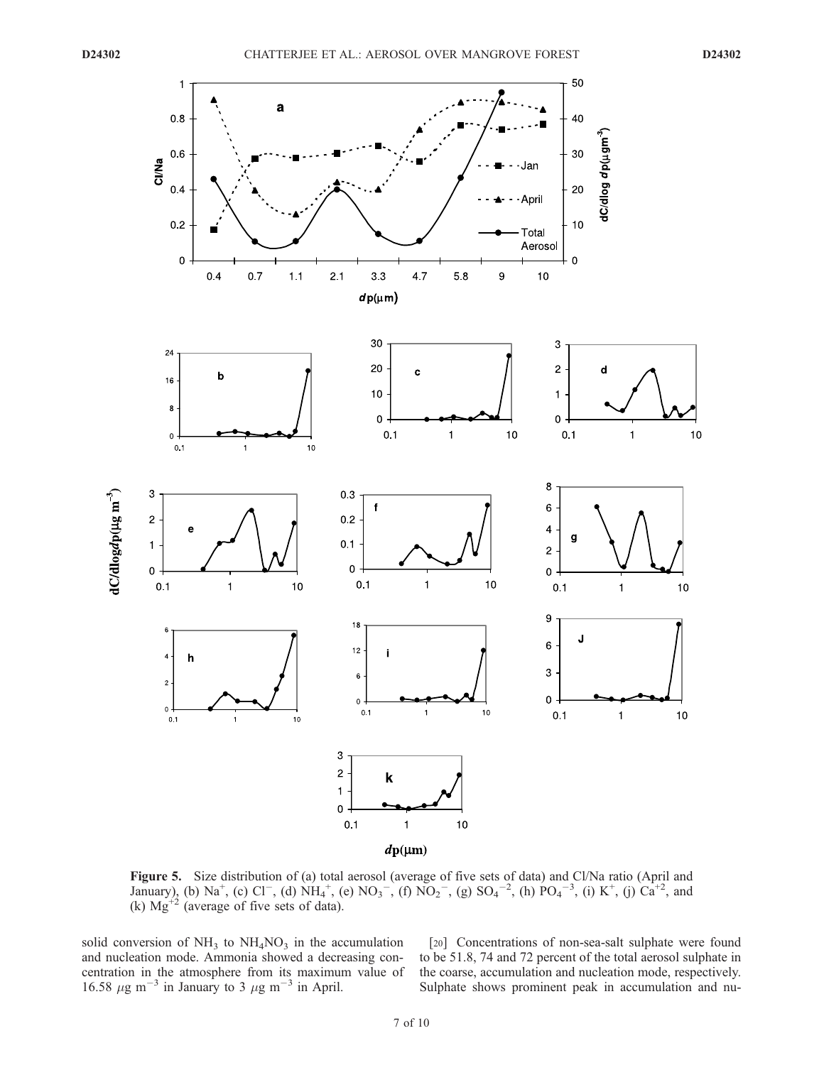

Figure 5. Size distribution of (a) total aerosol (average of five sets of data) and Cl/Na ratio (April and January), (b) Na<sup>+</sup>, (c) Cl<sup>-</sup>, (d) NH<sub>4</sub><sup>+</sup>, (e) NO<sub>3</sub><sup>-</sup>, (f) NO<sub>2</sub><sup>-</sup>, (g) SO<sub>4</sub><sup>-2</sup>, (h) PO<sub>4</sub><sup>-3</sup>, (i) K<sup>+</sup>, (j) Ca<sup>+2</sup>, and (k)  $Mg^{2}$  (average of five sets of data).

solid conversion of  $NH_3$  to  $NH_4NO_3$  in the accumulation and nucleation mode. Ammonia showed a decreasing concentration in the atmosphere from its maximum value of 16.58  $\mu$ g m<sup>-3</sup> in January to 3  $\mu$ g m<sup>-3</sup> in April.

[20] Concentrations of non-sea-salt sulphate were found to be 51.8, 74 and 72 percent of the total aerosol sulphate in the coarse, accumulation and nucleation mode, respectively. Sulphate shows prominent peak in accumulation and nu-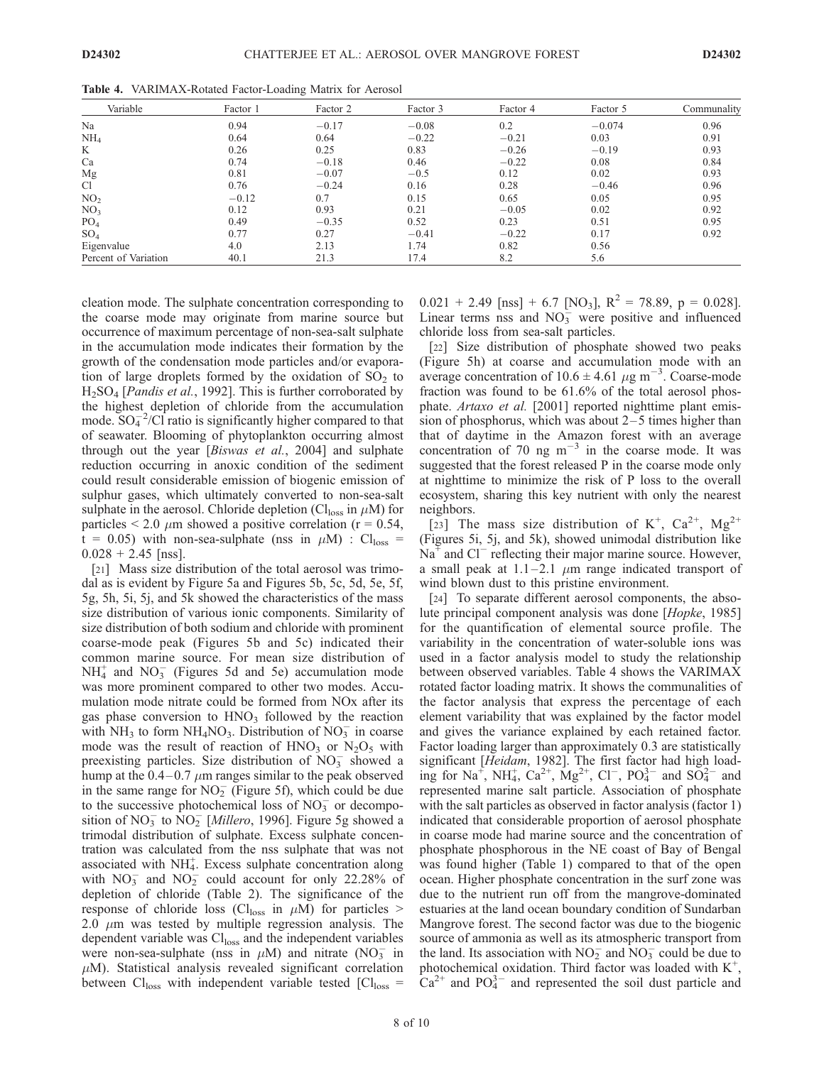| Variable             | Factor 1 | Factor 2 | Factor 3 | Factor 4 | Factor 5 | Communality |
|----------------------|----------|----------|----------|----------|----------|-------------|
| Na                   | 0.94     | $-0.17$  | $-0.08$  | 0.2      | $-0.074$ | 0.96        |
| NH <sub>4</sub>      | 0.64     | 0.64     | $-0.22$  | $-0.21$  | 0.03     | 0.91        |
| K                    | 0.26     | 0.25     | 0.83     | $-0.26$  | $-0.19$  | 0.93        |
| Ca                   | 0.74     | $-0.18$  | 0.46     | $-0.22$  | 0.08     | 0.84        |
| Mg                   | 0.81     | $-0.07$  | $-0.5$   | 0.12     | 0.02     | 0.93        |
| Cl                   | 0.76     | $-0.24$  | 0.16     | 0.28     | $-0.46$  | 0.96        |
| NO <sub>2</sub>      | $-0.12$  | 0.7      | 0.15     | 0.65     | 0.05     | 0.95        |
| NO <sub>3</sub>      | 0.12     | 0.93     | 0.21     | $-0.05$  | 0.02     | 0.92        |
| PO <sub>4</sub>      | 0.49     | $-0.35$  | 0.52     | 0.23     | 0.51     | 0.95        |
| SO <sub>4</sub>      | 0.77     | 0.27     | $-0.41$  | $-0.22$  | 0.17     | 0.92        |
| Eigenvalue           | 4.0      | 2.13     | 1.74     | 0.82     | 0.56     |             |
| Percent of Variation | 40.1     | 21.3     | 17.4     | 8.2      | 5.6      |             |

Table 4. VARIMAX-Rotated Factor-Loading Matrix for Aerosol

cleation mode. The sulphate concentration corresponding to the coarse mode may originate from marine source but occurrence of maximum percentage of non-sea-salt sulphate in the accumulation mode indicates their formation by the growth of the condensation mode particles and/or evaporation of large droplets formed by the oxidation of  $SO<sub>2</sub>$  to H<sub>2</sub>SO<sub>4</sub> [*Pandis et al.*, 1992]. This is further corroborated by the highest depletion of chloride from the accumulation mode.  $SO_4^{-2}/Cl$  ratio is significantly higher compared to that of seawater. Blooming of phytoplankton occurring almost through out the year [Biswas et al., 2004] and sulphate reduction occurring in anoxic condition of the sediment could result considerable emission of biogenic emission of sulphur gases, which ultimately converted to non-sea-salt sulphate in the aerosol. Chloride depletion (Cl<sub>loss</sub> in  $\mu$ M) for particles  $\leq 2.0 \mu$ m showed a positive correlation (r = 0.54,  $t = 0.05$ ) with non-sea-sulphate (nss in  $\mu$ M) : Cl<sub>loss</sub> =  $0.028 + 2.45$  [nss].

[21] Mass size distribution of the total aerosol was trimodal as is evident by Figure 5a and Figures 5b, 5c, 5d, 5e, 5f, 5g, 5h, 5i, 5j, and 5k showed the characteristics of the mass size distribution of various ionic components. Similarity of size distribution of both sodium and chloride with prominent coarse-mode peak (Figures 5b and 5c) indicated their common marine source. For mean size distribution of  $NH<sub>4</sub><sup>+</sup>$  and  $NO<sub>3</sub><sup>-</sup>$  (Figures 5d and 5e) accumulation mode was more prominent compared to other two modes. Accumulation mode nitrate could be formed from NOx after its gas phase conversion to  $HNO<sub>3</sub>$  followed by the reaction with  $NH_3$  to form  $NH_4NO_3$ . Distribution of  $NO_3^-$  in coarse mode was the result of reaction of  $HNO<sub>3</sub>$  or  $N<sub>2</sub>O<sub>5</sub>$  with preexisting particles. Size distribution of  $\overline{NO_3}$  showed a hump at the  $0.4-0.7 \mu m$  ranges similar to the peak observed in the same range for  $NO<sub>2</sub>$  (Figure 5f), which could be due to the successive photochemical loss of  $NO<sub>3</sub><sup>-</sup>$  or decomposition of  $NO_3^-$  to  $NO_2^-$  [*Millero*, 1996]. Figure 5g showed a trimodal distribution of sulphate. Excess sulphate concentration was calculated from the nss sulphate that was not associated with  $NH<sub>4</sub>$ . Excess sulphate concentration along with  $NO_3^-$  and  $NO_2^-$  could account for only 22.28% of depletion of chloride (Table 2). The significance of the response of chloride loss (Cl<sub>loss</sub> in  $\mu$ M) for particles > 2.0  $\mu$ m was tested by multiple regression analysis. The dependent variable was Cl<sub>loss</sub> and the independent variables were non-sea-sulphate (nss in  $\mu$ M) and nitrate (NO<sub>3</sub> in  $\mu$ M). Statistical analysis revealed significant correlation between  $Cl<sub>loss</sub>$  with independent variable tested  $[Cl<sub>loss</sub> =$ 

 $0.021 + 2.49$  [nss] + 6.7 [NO<sub>3</sub>], R<sup>2</sup> = 78.89, p = 0.028]. Linear terms nss and  $NO<sub>3</sub><sup>-</sup>$  were positive and influenced chloride loss from sea-salt particles.

[22] Size distribution of phosphate showed two peaks (Figure 5h) at coarse and accumulation mode with an average concentration of  $10.6 \pm 4.61 \ \mu g \ m^{-3}$ . Coarse-mode fraction was found to be 61.6% of the total aerosol phosphate. Artaxo et al. [2001] reported nighttime plant emission of phosphorus, which was about  $2-5$  times higher than that of daytime in the Amazon forest with an average concentration of 70 ng  $m^{-3}$  in the coarse mode. It was suggested that the forest released P in the coarse mode only at nighttime to minimize the risk of P loss to the overall ecosystem, sharing this key nutrient with only the nearest neighbors.

[23] The mass size distribution of K<sup>+</sup>, Ca<sup>2+</sup>, Mg<sup>2+</sup> (Figures 5i, 5j, and 5k), showed unimodal distribution like  $Na<sup>+</sup>$  and Cl<sup>-</sup> reflecting their major marine source. However, a small peak at  $1.1-2.1 \mu m$  range indicated transport of wind blown dust to this pristine environment.

[24] To separate different aerosol components, the absolute principal component analysis was done [Hopke, 1985] for the quantification of elemental source profile. The variability in the concentration of water-soluble ions was used in a factor analysis model to study the relationship between observed variables. Table 4 shows the VARIMAX rotated factor loading matrix. It shows the communalities of the factor analysis that express the percentage of each element variability that was explained by the factor model and gives the variance explained by each retained factor. Factor loading larger than approximately 0.3 are statistically significant [Heidam, 1982]. The first factor had high loading for  $\text{Na}^+$ ,  $\text{NH}_4^+$ ,  $\text{Ca}^{2+}$ ,  $\text{Mg}^{2+}$ ,  $\text{Cl}^-$ ,  $\text{PO}_4^{3-}$  and  $\text{SO}_4^{2-}$  and represented marine salt particle. Association of phosphate with the salt particles as observed in factor analysis (factor 1) indicated that considerable proportion of aerosol phosphate in coarse mode had marine source and the concentration of phosphate phosphorous in the NE coast of Bay of Bengal was found higher (Table 1) compared to that of the open ocean. Higher phosphate concentration in the surf zone was due to the nutrient run off from the mangrove-dominated estuaries at the land ocean boundary condition of Sundarban Mangrove forest. The second factor was due to the biogenic source of ammonia as well as its atmospheric transport from the land. Its association with  $NO<sub>2</sub><sup>-</sup>$  and  $NO<sub>3</sub><sup>-</sup>$  could be due to photochemical oxidation. Third factor was loaded with  $K^+$ ,  $Ca^{2+}$  and PO $4^-$  and represented the soil dust particle and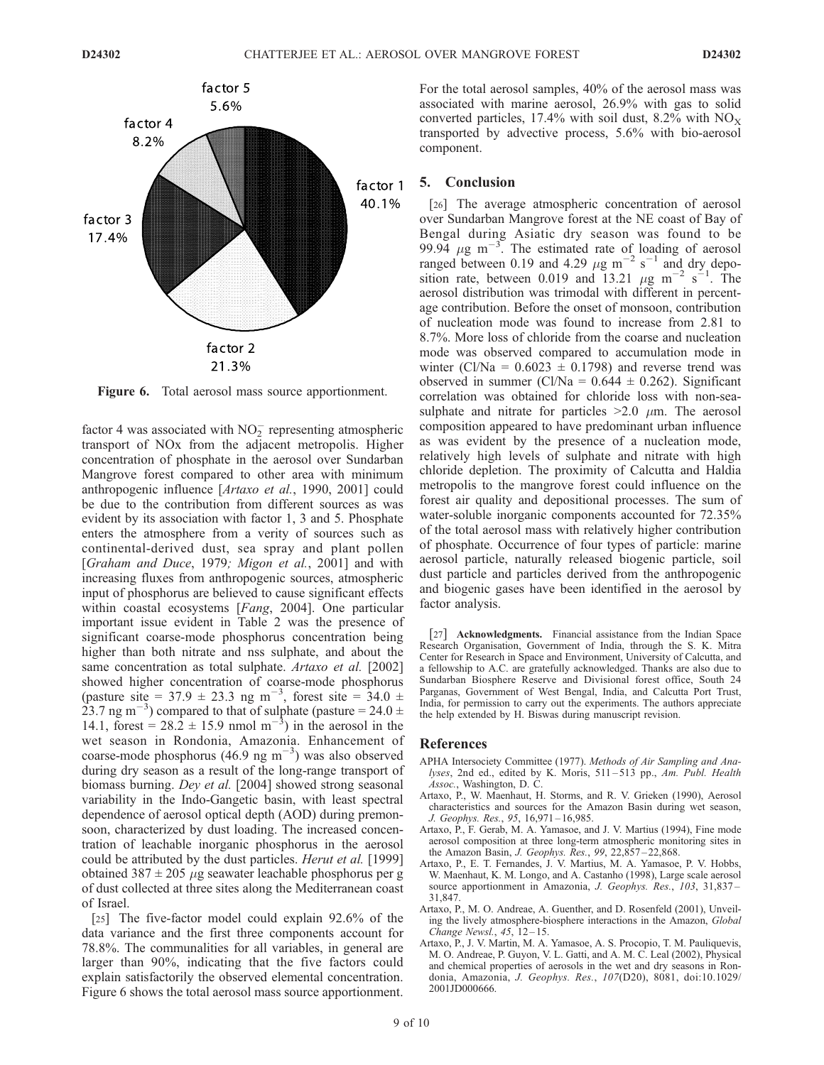

Figure 6. Total aerosol mass source apportionment.

factor 4 was associated with  $NO<sub>2</sub><sup>-</sup>$  representing atmospheric transport of NOx from the adjacent metropolis. Higher concentration of phosphate in the aerosol over Sundarban Mangrove forest compared to other area with minimum anthropogenic influence [Artaxo et al., 1990, 2001] could be due to the contribution from different sources as was evident by its association with factor 1, 3 and 5. Phosphate enters the atmosphere from a verity of sources such as continental-derived dust, sea spray and plant pollen [Graham and Duce, 1979; Migon et al., 2001] and with increasing fluxes from anthropogenic sources, atmospheric input of phosphorus are believed to cause significant effects within coastal ecosystems [Fang, 2004]. One particular important issue evident in Table 2 was the presence of significant coarse-mode phosphorus concentration being higher than both nitrate and nss sulphate, and about the same concentration as total sulphate. Artaxo et al. [2002] showed higher concentration of coarse-mode phosphorus (pasture site = 37.9  $\pm$  23.3 ng m<sup>-3</sup>, forest site = 34.0  $\pm$ 23.7 ng m<sup>-3</sup>) compared to that of sulphate (pasture = 24.0  $\pm$ 14.1, forest =  $28.\overline{2} \pm 15.9$  nmol m<sup>-3</sup>) in the aerosol in the wet season in Rondonia, Amazonia. Enhancement of coarse-mode phosphorus  $(46.9 \text{ ng m}^{-3})$  was also observed during dry season as a result of the long-range transport of biomass burning. Dey et al. [2004] showed strong seasonal variability in the Indo-Gangetic basin, with least spectral dependence of aerosol optical depth (AOD) during premonsoon, characterized by dust loading. The increased concentration of leachable inorganic phosphorus in the aerosol could be attributed by the dust particles. Herut et al. [1999] obtained 387  $\pm$  205  $\mu$ g seawater leachable phosphorus per g of dust collected at three sites along the Mediterranean coast of Israel.

[25] The five-factor model could explain 92.6% of the data variance and the first three components account for 78.8%. The communalities for all variables, in general are larger than 90%, indicating that the five factors could explain satisfactorily the observed elemental concentration. Figure 6 shows the total aerosol mass source apportionment.

For the total aerosol samples, 40% of the aerosol mass was associated with marine aerosol, 26.9% with gas to solid converted particles, 17.4% with soil dust, 8.2% with  $NO_X$ transported by advective process, 5.6% with bio-aerosol component.

# 5. Conclusion

[26] The average atmospheric concentration of aerosol over Sundarban Mangrove forest at the NE coast of Bay of Bengal during Asiatic dry season was found to be 99.94  $\mu$ g m<sup>-3</sup>. The estimated rate of loading of aerosol ranged between 0.19 and 4.29  $\mu$ g m<sup>-2</sup> s<sup>-1</sup> and dry deposition rate, between 0.019 and 13.21  $\mu$ g m<sup>-2</sup> s<sup>-1</sup>. The aerosol distribution was trimodal with different in percentage contribution. Before the onset of monsoon, contribution of nucleation mode was found to increase from 2.81 to 8.7%. More loss of chloride from the coarse and nucleation mode was observed compared to accumulation mode in winter (Cl/Na =  $0.6023 \pm 0.1798$ ) and reverse trend was observed in summer (Cl/Na =  $0.644 \pm 0.262$ ). Significant correlation was obtained for chloride loss with non-seasulphate and nitrate for particles  $>2.0$   $\mu$ m. The aerosol composition appeared to have predominant urban influence as was evident by the presence of a nucleation mode, relatively high levels of sulphate and nitrate with high chloride depletion. The proximity of Calcutta and Haldia metropolis to the mangrove forest could influence on the forest air quality and depositional processes. The sum of water-soluble inorganic components accounted for 72.35% of the total aerosol mass with relatively higher contribution of phosphate. Occurrence of four types of particle: marine aerosol particle, naturally released biogenic particle, soil dust particle and particles derived from the anthropogenic and biogenic gases have been identified in the aerosol by factor analysis.

[27] Acknowledgments. Financial assistance from the Indian Space Research Organisation, Government of India, through the S. K. Mitra Center for Research in Space and Environment, University of Calcutta, and a fellowship to A.C. are gratefully acknowledged. Thanks are also due to Sundarban Biosphere Reserve and Divisional forest office, South 24 Parganas, Government of West Bengal, India, and Calcutta Port Trust, India, for permission to carry out the experiments. The authors appreciate the help extended by H. Biswas during manuscript revision.

#### References

- APHA Intersociety Committee (1977). Methods of Air Sampling and Analyses, 2nd ed., edited by K. Moris, 511-513 pp., Am. Publ. Health Assoc., Washington, D. C.
- Artaxo, P., W. Maenhaut, H. Storms, and R. V. Grieken (1990), Aerosol characteristics and sources for the Amazon Basin during wet season, J. Geophys. Res., 95, 16,971 – 16,985.
- Artaxo, P., F. Gerab, M. A. Yamasoe, and J. V. Martius (1994), Fine mode aerosol composition at three long-term atmospheric monitoring sites in the Amazon Basin, J. Geophys. Res., 99, 22,857-22,868.
- Artaxo, P., E. T. Fernandes, J. V. Martius, M. A. Yamasoe, P. V. Hobbs, W. Maenhaut, K. M. Longo, and A. Castanho (1998), Large scale aerosol source apportionment in Amazonia, J. Geophys. Res., 103, 31,837-31,847.
- Artaxo, P., M. O. Andreae, A. Guenther, and D. Rosenfeld (2001), Unveiling the lively atmosphere-biosphere interactions in the Amazon, Global Change Newsl.,  $45$ ,  $12-15$ .
- Artaxo, P., J. V. Martin, M. A. Yamasoe, A. S. Procopio, T. M. Pauliquevis, M. O. Andreae, P. Guyon, V. L. Gatti, and A. M. C. Leal (2002), Physical and chemical properties of aerosols in the wet and dry seasons in Rondonia, Amazonia, J. Geophys. Res., 107(D20), 8081, doi:10.1029/ 2001JD000666.